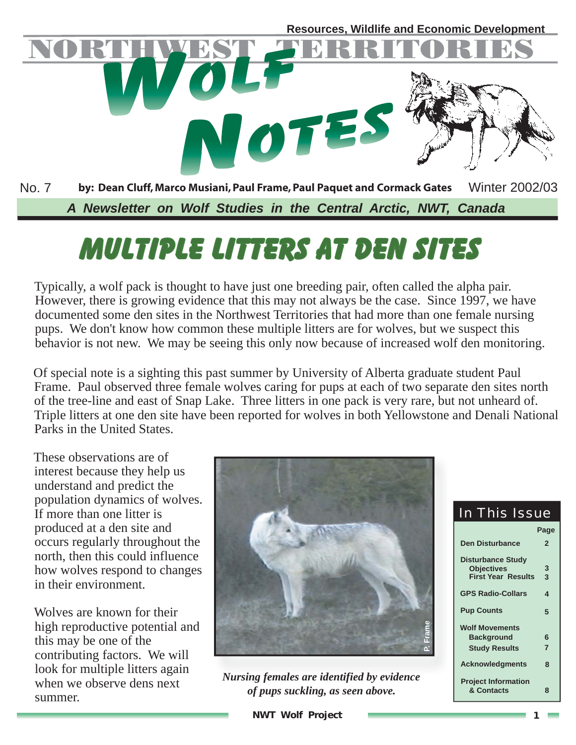

# **Multiple Litters at Den Sites**

Typically, a wolf pack is thought to have just one breeding pair, often called the alpha pair. However, there is growing evidence that this may not always be the case. Since 1997, we have documented some den sites in the Northwest Territories that had more than one female nursing pups. We don't know how common these multiple litters are for wolves, but we suspect this behavior is not new. We may be seeing this only now because of increased wolf den monitoring.

Of special note is a sighting this past summer by University of Alberta graduate student Paul Frame. Paul observed three female wolves caring for pups at each of two separate den sites north of the tree-line and east of Snap Lake. Three litters in one pack is very rare, but not unheard of. Triple litters at one den site have been reported for wolves in both Yellowstone and Denali National Parks in the United States.

These observations are of interest because they help us understand and predict the population dynamics of wolves. If more than one litter is produced at a den site and occurs regularly throughout the north, then this could influence how wolves respond to changes in their environment.

Wolves are known for their high reproductive potential and this may be one of the contributing factors. We will look for multiple litters again when we observe dens next summer.



*Nursing females are identified by evidence of pups suckling, as seen above.*

| <b>In This Issue</b>                          |                |  |  |  |
|-----------------------------------------------|----------------|--|--|--|
|                                               | Page           |  |  |  |
| <b>Den Disturbance</b>                        | $\overline{2}$ |  |  |  |
| <b>Disturbance Study</b><br><b>Objectives</b> | 3              |  |  |  |
| <b>First Year Results</b>                     | 3              |  |  |  |
| <b>GPS Radio-Collars</b>                      | 4              |  |  |  |
| <b>Pup Counts</b>                             | 5              |  |  |  |
| <b>Wolf Movements</b>                         |                |  |  |  |
| <b>Background</b>                             | 6              |  |  |  |
| <b>Study Results</b>                          | $\overline{7}$ |  |  |  |
| <b>Acknowledgments</b>                        | ឧ              |  |  |  |
| <b>Project Information</b><br>& Contacts      | 8              |  |  |  |

**NWT Wolf Project 1**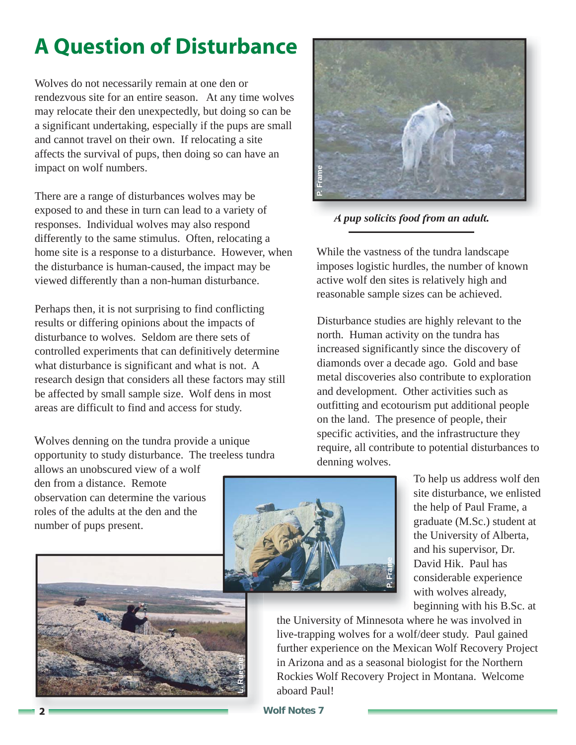# **A Question of Disturbance**

Wolves do not necessarily remain at one den or rendezvous site for an entire season. At any time wolves may relocate their den unexpectedly, but doing so can be a significant undertaking, especially if the pups are small and cannot travel on their own. If relocating a site affects the survival of pups, then doing so can have an impact on wolf numbers.

There are a range of disturbances wolves may be exposed to and these in turn can lead to a variety of responses. Individual wolves may also respond differently to the same stimulus. Often, relocating a home site is a response to a disturbance. However, when the disturbance is human-caused, the impact may be viewed differently than a non-human disturbance.

Perhaps then, it is not surprising to find conflicting results or differing opinions about the impacts of disturbance to wolves. Seldom are there sets of controlled experiments that can definitively determine what disturbance is significant and what is not. A research design that considers all these factors may still be affected by small sample size. Wolf dens in most areas are difficult to find and access for study.

Wolves denning on the tundra provide a unique opportunity to study disturbance. The treeless tundra

allows an unobscured view of a wolf den from a distance. Remote observation can determine the various roles of the adults at the den and the number of pups present.



To help us address wolf den site disturbance, we enlisted the help of Paul Frame, a graduate (M.Sc.) student at the University of Alberta, and his supervisor, Dr. David Hik. Paul has considerable experience with wolves already, beginning with his B.Sc. at

the University of Minnesota where he was involved in live-trapping wolves for a wolf/deer study. Paul gained further experience on the Mexican Wolf Recovery Project in Arizona and as a seasonal biologist for the Northern Rockies Wolf Recovery Project in Montana. Welcome aboard Paul!



*A pup solicits food from an adult.*

While the vastness of the tundra landscape imposes logistic hurdles, the number of known active wolf den sites is relatively high and reasonable sample sizes can be achieved.

Disturbance studies are highly relevant to the north. Human activity on the tundra has increased significantly since the discovery of diamonds over a decade ago. Gold and base metal discoveries also contribute to exploration and development. Other activities such as outfitting and ecotourism put additional people on the land. The presence of people, their specific activities, and the infrastructure they require, all contribute to potential disturbances to denning wolves.

**Wolf Notes 7**

**L. Ruechel**

**2**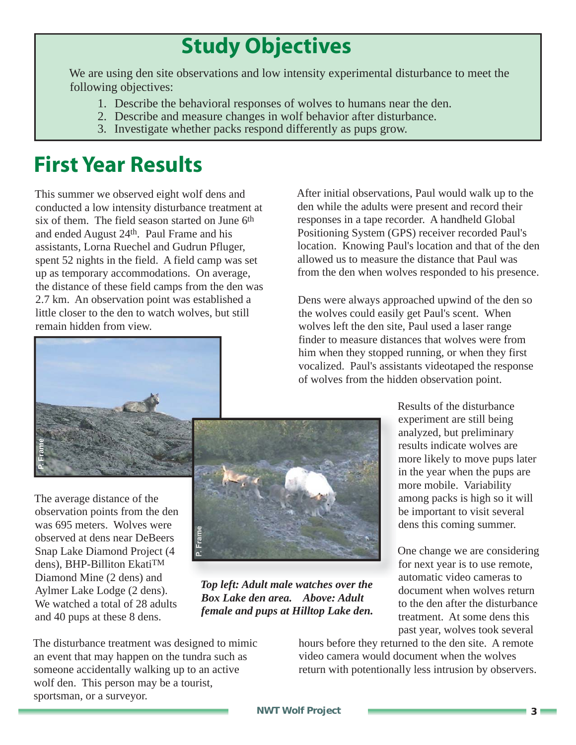# **Study Objectives**

We are using den site observations and low intensity experimental disturbance to meet the following objectives:

- 1. Describe the behavioral responses of wolves to humans near the den.
- 2. Describe and measure changes in wolf behavior after disturbance.
- 3. Investigate whether packs respond differently as pups grow.

# **First Year Results**

This summer we observed eight wolf dens and conducted a low intensity disturbance treatment at six of them. The field season started on June 6th and ended August 24th. Paul Frame and his assistants, Lorna Ruechel and Gudrun Pfluger, spent 52 nights in the field. A field camp was set up as temporary accommodations. On average, the distance of these field camps from the den was 2.7 km. An observation point was established a little closer to the den to watch wolves, but still remain hidden from view.

After initial observations, Paul would walk up to the den while the adults were present and record their responses in a tape recorder. A handheld Global Positioning System (GPS) receiver recorded Paul's location. Knowing Paul's location and that of the den allowed us to measure the distance that Paul was from the den when wolves responded to his presence.

Dens were always approached upwind of the den so the wolves could easily get Paul's scent. When wolves left the den site, Paul used a laser range finder to measure distances that wolves were from him when they stopped running, or when they first vocalized. Paul's assistants videotaped the response of wolves from the hidden observation point.



**P. Frame**



*Top left: Adult male watches over the Box Lake den area. Above: Adult female and pups at Hilltop Lake den.*

Results of the disturbance experiment are still being analyzed, but preliminary results indicate wolves are more likely to move pups later in the year when the pups are more mobile. Variability among packs is high so it will be important to visit several dens this coming summer.

One change we are considering for next year is to use remote, automatic video cameras to document when wolves return to the den after the disturbance treatment. At some dens this past year, wolves took several

The disturbance treatment was designed to mimic an event that may happen on the tundra such as someone accidentally walking up to an active wolf den. This person may be a tourist, sportsman, or a surveyor.

hours before they returned to the den site. A remote video camera would document when the wolves return with potentionally less intrusion by observers.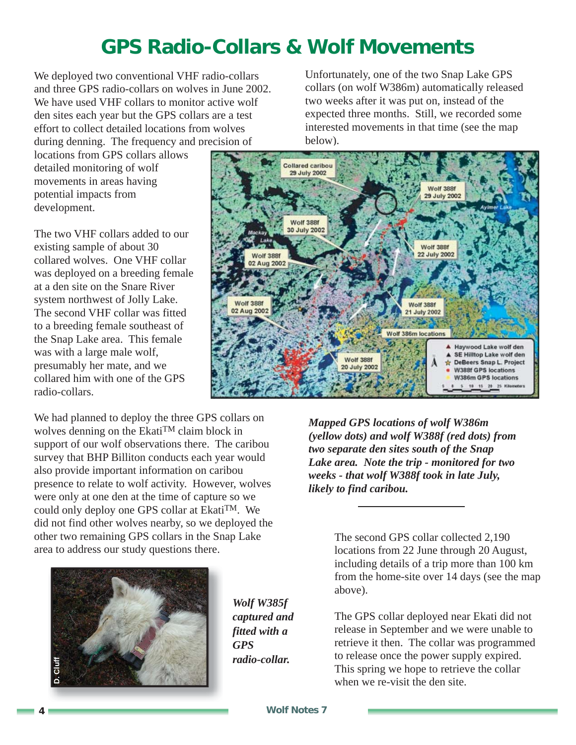### **GPS Radio-Collars & Wolf Movements**

We deployed two conventional VHF radio-collars and three GPS radio-collars on wolves in June 2002. We have used VHF collars to monitor active wolf den sites each year but the GPS collars are a test effort to collect detailed locations from wolves during denning. The frequency and precision of

locations from GPS collars allows detailed monitoring of wolf movements in areas having potential impacts from development.

The two VHF collars added to our existing sample of about 30 collared wolves. One VHF collar was deployed on a breeding female at a den site on the Snare River system northwest of Jolly Lake. The second VHF collar was fitted to a breeding female southeast of the Snap Lake area. This female was with a large male wolf, presumably her mate, and we collared him with one of the GPS radio-collars.

We had planned to deploy the three GPS collars on wolves denning on the EkatiTM claim block in support of our wolf observations there. The caribou survey that BHP Billiton conducts each year would also provide important information on caribou presence to relate to wolf activity. However, wolves were only at one den at the time of capture so we could only deploy one GPS collar at EkatiTM. We did not find other wolves nearby, so we deployed the other two remaining GPS collars in the Snap Lake area to address our study questions there.



*Wolf W385f captured and fitted with a GPS radio-collar.*

Unfortunately, one of the two Snap Lake GPS collars (on wolf W386m) automatically released two weeks after it was put on, instead of the expected three months. Still, we recorded some interested movements in that time (see the map below).



*Mapped GPS locations of wolf W386m (yellow dots) and wolf W388f (red dots) from two separate den sites south of the Snap Lake area. Note the trip - monitored for two weeks - that wolf W388f took in late July, likely to find caribou.*

> The second GPS collar collected 2,190 locations from 22 June through 20 August, including details of a trip more than 100 km from the home-site over 14 days (see the map above).

The GPS collar deployed near Ekati did not release in September and we were unable to retrieve it then. The collar was programmed to release once the power supply expired. This spring we hope to retrieve the collar when we re-visit the den site.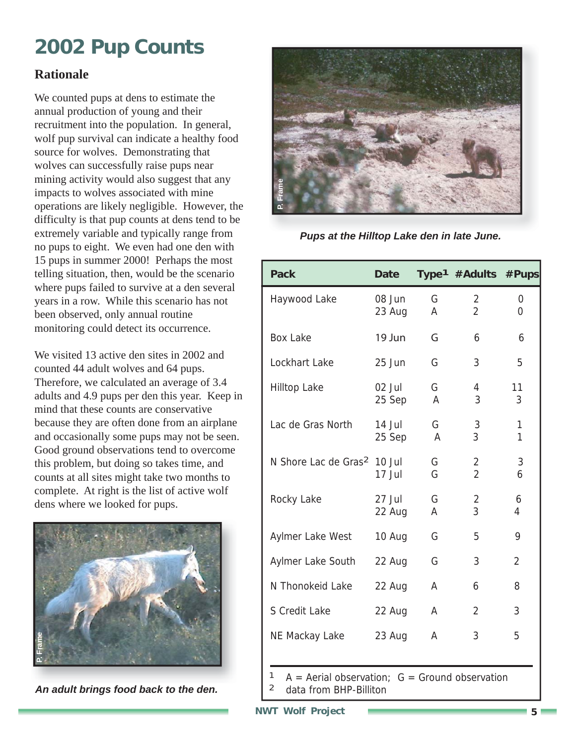# **2002 Pup Counts**

#### **Rationale**

We counted pups at dens to estimate the annual production of young and their recruitment into the population. In general, wolf pup survival can indicate a healthy food source for wolves. Demonstrating that wolves can successfully raise pups near mining activity would also suggest that any impacts to wolves associated with mine operations are likely negligible. However, the difficulty is that pup counts at dens tend to be extremely variable and typically range from no pups to eight. We even had one den with 15 pups in summer 2000! Perhaps the most telling situation, then, would be the scenario where pups failed to survive at a den several years in a row. While this scenario has not been observed, only annual routine monitoring could detect its occurrence.

We visited 13 active den sites in 2002 and counted 44 adult wolves and 64 pups. Therefore, we calculated an average of 3.4 adults and 4.9 pups per den this year. Keep in mind that these counts are conservative because they are often done from an airplane and occasionally some pups may not be seen. Good ground observations tend to overcome this problem, but doing so takes time, and counts at all sites might take two months to complete. At right is the list of active wolf dens where we looked for pups.



*An adult brings food back to the den.*



*Pups at the Hilltop Lake den in late June.*

| <b>Pack</b>                             | <b>Date</b>        |        | Type <sup>1</sup> #Adults #Pups |                |
|-----------------------------------------|--------------------|--------|---------------------------------|----------------|
| Haywood Lake                            | 08 Jun<br>23 Aug   | G<br>A | 2<br>$\overline{2}$             | 0<br>$\Omega$  |
| <b>Box Lake</b>                         | 19 Jun             | G      | 6                               | 6              |
| Lockhart Lake                           | 25 Jun             | G      | 3                               | 5              |
| <b>Hilltop Lake</b>                     | 02 Jul<br>25 Sep   | G<br>A | 4<br>3                          | 11<br>3        |
| Lac de Gras North                       | $14$ Jul<br>25 Sep | G<br>A | 3<br>3                          | 1<br>1         |
| N Shore Lac de Gras <sup>2</sup> 10 Jul | 17 Jul             | G<br>G | 2<br>$\overline{2}$             | 3<br>6         |
| Rocky Lake                              | $27$ Jul<br>22 Aug | G<br>A | 2<br>3                          | 6<br>4         |
| Aylmer Lake West                        | 10 Aug             | G      | 5                               | 9              |
| Aylmer Lake South                       | 22 Aug             | G      | 3                               | $\overline{2}$ |
| N Thonokeid Lake                        | 22 Aug             | A      | 6                               | 8              |
| S Credit Lake                           | 22 Aug             | A      | $\overline{2}$                  | 3              |
| NE Mackay Lake                          | 23 Aug             | A      | 3                               | 5              |

 $A =$  Aerial observation;  $G =$  Ground observation 2 data from BHP-Billiton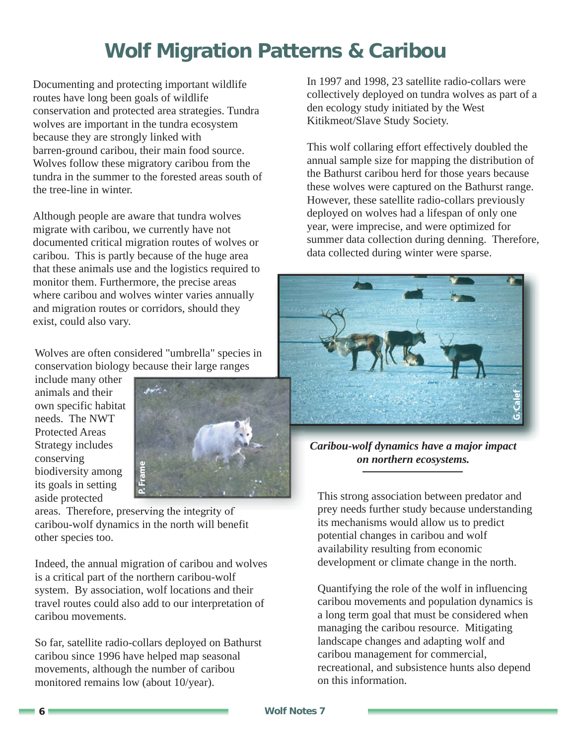### **Wolf Migration Patterns & Caribou**

Documenting and protecting important wildlife routes have long been goals of wildlife conservation and protected area strategies. Tundra wolves are important in the tundra ecosystem because they are strongly linked with barren-ground caribou, their main food source. Wolves follow these migratory caribou from the tundra in the summer to the forested areas south of the tree-line in winter.

Although people are aware that tundra wolves migrate with caribou, we currently have not documented critical migration routes of wolves or caribou. This is partly because of the huge area that these animals use and the logistics required to monitor them. Furthermore, the precise areas where caribou and wolves winter varies annually and migration routes or corridors, should they exist, could also vary.

Wolves are often considered "umbrella" species in conservation biology because their large ranges

include many other animals and their own specific habitat needs. The NWT Protected Areas Strategy includes conserving biodiversity among its goals in setting aside protected



areas. Therefore, preserving the integrity of caribou-wolf dynamics in the north will benefit other species too.

Indeed, the annual migration of caribou and wolves is a critical part of the northern caribou-wolf system. By association, wolf locations and their travel routes could also add to our interpretation of caribou movements.

So far, satellite radio-collars deployed on Bathurst caribou since 1996 have helped map seasonal movements, although the number of caribou monitored remains low (about 10/year).

In 1997 and 1998, 23 satellite radio-collars were collectively deployed on tundra wolves as part of a den ecology study initiated by the West Kitikmeot/Slave Study Society.

This wolf collaring effort effectively doubled the annual sample size for mapping the distribution of the Bathurst caribou herd for those years because these wolves were captured on the Bathurst range. However, these satellite radio-collars previously deployed on wolves had a lifespan of only one year, were imprecise, and were optimized for summer data collection during denning. Therefore, data collected during winter were sparse.



*Caribou-wolf dynamics have a major impact on northern ecosystems.*

This strong association between predator and prey needs further study because understanding its mechanisms would allow us to predict potential changes in caribou and wolf availability resulting from economic development or climate change in the north.

Quantifying the role of the wolf in influencing caribou movements and population dynamics is a long term goal that must be considered when managing the caribou resource. Mitigating landscape changes and adapting wolf and caribou management for commercial, recreational, and subsistence hunts also depend on this information.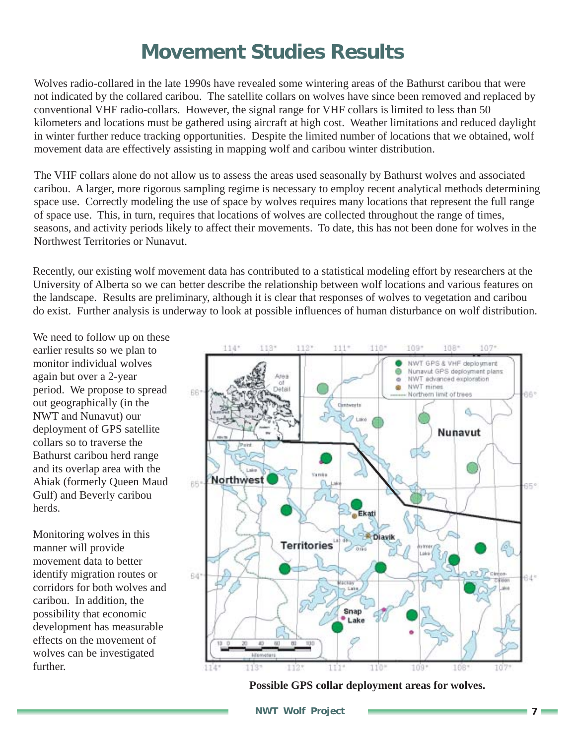### **Movement Studies Results**

Wolves radio-collared in the late 1990s have revealed some wintering areas of the Bathurst caribou that were not indicated by the collared caribou. The satellite collars on wolves have since been removed and replaced by conventional VHF radio-collars. However, the signal range for VHF collars is limited to less than 50 kilometers and locations must be gathered using aircraft at high cost. Weather limitations and reduced daylight in winter further reduce tracking opportunities. Despite the limited number of locations that we obtained, wolf movement data are effectively assisting in mapping wolf and caribou winter distribution.

The VHF collars alone do not allow us to assess the areas used seasonally by Bathurst wolves and associated caribou. A larger, more rigorous sampling regime is necessary to employ recent analytical methods determining space use. Correctly modeling the use of space by wolves requires many locations that represent the full range of space use. This, in turn, requires that locations of wolves are collected throughout the range of times, seasons, and activity periods likely to affect their movements. To date, this has not been done for wolves in the Northwest Territories or Nunavut.

Recently, our existing wolf movement data has contributed to a statistical modeling effort by researchers at the University of Alberta so we can better describe the relationship between wolf locations and various features on the landscape. Results are preliminary, although it is clear that responses of wolves to vegetation and caribou do exist. Further analysis is underway to look at possible influences of human disturbance on wolf distribution.

We need to follow up on these earlier results so we plan to monitor individual wolves again but over a 2-year period. We propose to spread out geographically (in the NWT and Nunavut) our deployment of GPS satellite collars so to traverse the Bathurst caribou herd range and its overlap area with the Ahiak (formerly Queen Maud Gulf) and Beverly caribou herds.

Monitoring wolves in this manner will provide movement data to better identify migration routes or corridors for both wolves and caribou. In addition, the possibility that economic development has measurable effects on the movement of wolves can be investigated further.



**Possible GPS collar deployment areas for wolves.**